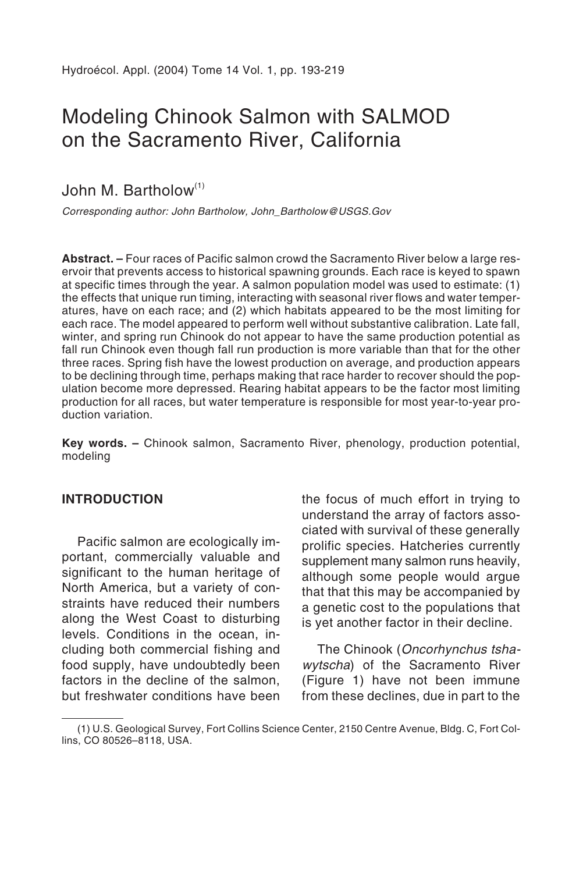# Modeling Chinook Salmon with SALMOD on the Sacramento River, California

John M. Bartholow $^{(1)}$ 

Corresponding author: John Bartholow, John\_Bartholow@USGS.Gov

**Abstract. –** Four races of Pacific salmon crowd the Sacramento River below a large reservoir that prevents access to historical spawning grounds. Each race is keyed to spawn at specific times through the year. A salmon population model was used to estimate: (1) the effects that unique run timing, interacting with seasonal river flows and water temperatures, have on each race; and (2) which habitats appeared to be the most limiting for each race. The model appeared to perform well without substantive calibration. Late fall, winter, and spring run Chinook do not appear to have the same production potential as fall run Chinook even though fall run production is more variable than that for the other three races. Spring fish have the lowest production on average, and production appears to be declining through time, perhaps making that race harder to recover should the population become more depressed. Rearing habitat appears to be the factor most limiting production for all races, but water temperature is responsible for most year-to-year production variation.

**Key words. –** Chinook salmon, Sacramento River, phenology, production potential, modeling

#### **INTRODUCTION**

Pacific salmon are ecologically important, commercially valuable and significant to the human heritage of North America, but a variety of constraints have reduced their numbers along the West Coast to disturbing levels. Conditions in the ocean, including both commercial fishing and food supply, have undoubtedly been factors in the decline of the salmon, but freshwater conditions have been the focus of much effort in trying to understand the array of factors associated with survival of these generally prolific species. Hatcheries currently supplement many salmon runs heavily, although some people would argue that that this may be accompanied by a genetic cost to the populations that is yet another factor in their decline.

The Chinook (Oncorhynchus tshawytscha) of the Sacramento River (Figure 1) have not been immune from these declines, due in part to the

<sup>(1)</sup> U.S. Geological Survey, Fort Collins Science Center, 2150 Centre Avenue, Bldg. C, Fort Collins, CO 80526–8118, USA.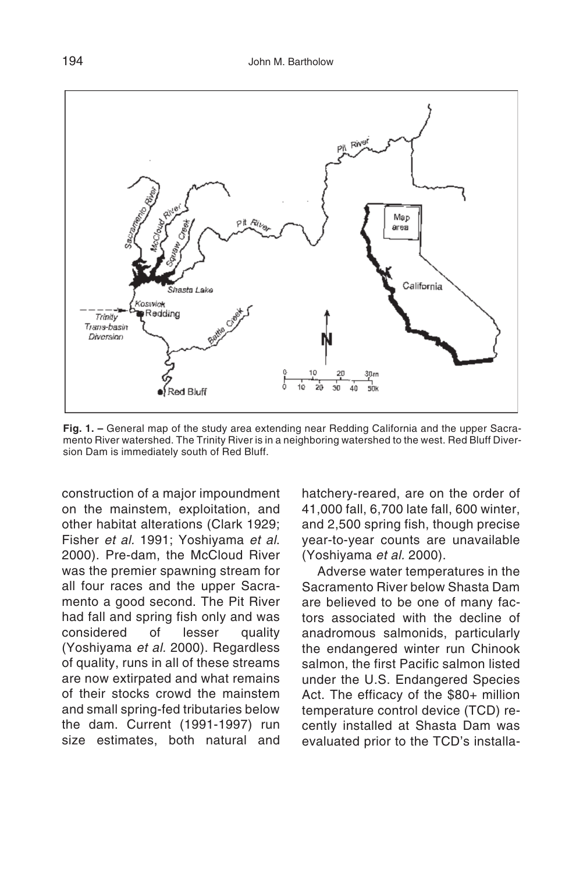

**Fig. 1. –** General map of the study area extending near Redding California and the upper Sacramento River watershed. The Trinity River is in a neighboring watershed to the west. Red Bluff Diversion Dam is immediately south of Red Bluff.

construction of a major impoundment on the mainstem, exploitation, and other habitat alterations (Clark 1929; Fisher et al. 1991; Yoshiyama et al. 2000). Pre-dam, the McCloud River was the premier spawning stream for all four races and the upper Sacramento a good second. The Pit River had fall and spring fish only and was considered of lesser quality (Yoshiyama et al. 2000). Regardless of quality, runs in all of these streams are now extirpated and what remains of their stocks crowd the mainstem and small spring-fed tributaries below the dam. Current (1991-1997) run size estimates, both natural and hatchery-reared, are on the order of 41,000 fall, 6,700 late fall, 600 winter, and 2,500 spring fish, though precise year-to-year counts are unavailable (Yoshiyama et al. 2000).

Adverse water temperatures in the Sacramento River below Shasta Dam are believed to be one of many factors associated with the decline of anadromous salmonids, particularly the endangered winter run Chinook salmon, the first Pacific salmon listed under the U.S. Endangered Species Act. The efficacy of the \$80+ million temperature control device (TCD) recently installed at Shasta Dam was evaluated prior to the TCD's installa-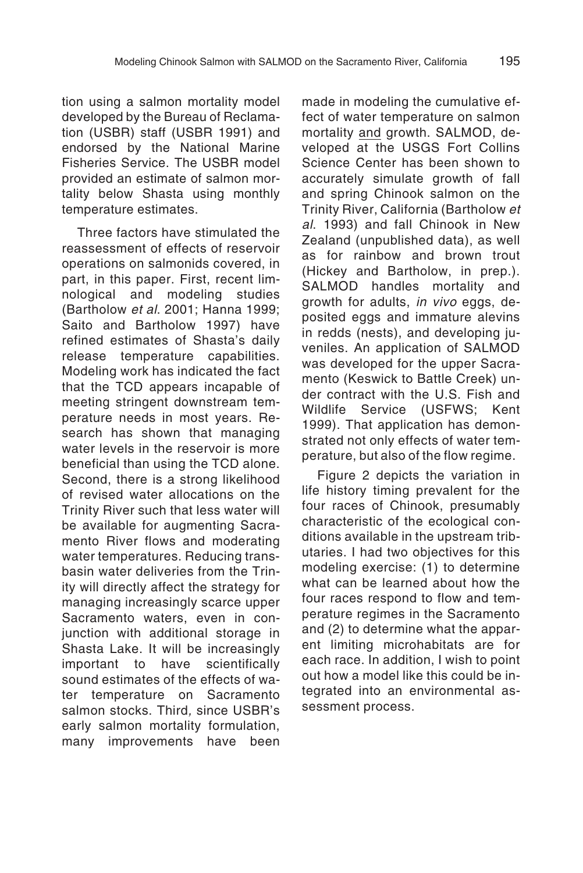tion using a salmon mortality model developed by the Bureau of Reclamation (USBR) staff (USBR 1991) and endorsed by the National Marine Fisheries Service. The USBR model provided an estimate of salmon mortality below Shasta using monthly temperature estimates.

Three factors have stimulated the reassessment of effects of reservoir operations on salmonids covered, in part, in this paper. First, recent limnological and modeling studies (Bartholow et al. 2001; Hanna 1999; Saito and Bartholow 1997) have refined estimates of Shasta's daily release temperature capabilities. Modeling work has indicated the fact that the TCD appears incapable of meeting stringent downstream temperature needs in most years. Research has shown that managing water levels in the reservoir is more beneficial than using the TCD alone. Second, there is a strong likelihood of revised water allocations on the Trinity River such that less water will be available for augmenting Sacramento River flows and moderating water temperatures. Reducing transbasin water deliveries from the Trinity will directly affect the strategy for managing increasingly scarce upper Sacramento waters, even in conjunction with additional storage in Shasta Lake. It will be increasingly important to have scientifically sound estimates of the effects of water temperature on Sacramento salmon stocks. Third, since USBR's early salmon mortality formulation, many improvements have been

made in modeling the cumulative effect of water temperature on salmon mortality and growth. SALMOD, developed at the USGS Fort Collins Science Center has been shown to accurately simulate growth of fall and spring Chinook salmon on the Trinity River, California (Bartholow et al. 1993) and fall Chinook in New Zealand (unpublished data), as well as for rainbow and brown trout (Hickey and Bartholow, in prep.). SALMOD handles mortality and growth for adults, in vivo eggs, deposited eggs and immature alevins in redds (nests), and developing juveniles. An application of SALMOD was developed for the upper Sacramento (Keswick to Battle Creek) under contract with the U.S. Fish and Wildlife Service (USFWS; Kent 1999). That application has demonstrated not only effects of water temperature, but also of the flow regime.

Figure 2 depicts the variation in life history timing prevalent for the four races of Chinook, presumably characteristic of the ecological conditions available in the upstream tributaries. I had two objectives for this modeling exercise: (1) to determine what can be learned about how the four races respond to flow and temperature regimes in the Sacramento and (2) to determine what the apparent limiting microhabitats are for each race. In addition, I wish to point out how a model like this could be integrated into an environmental assessment process.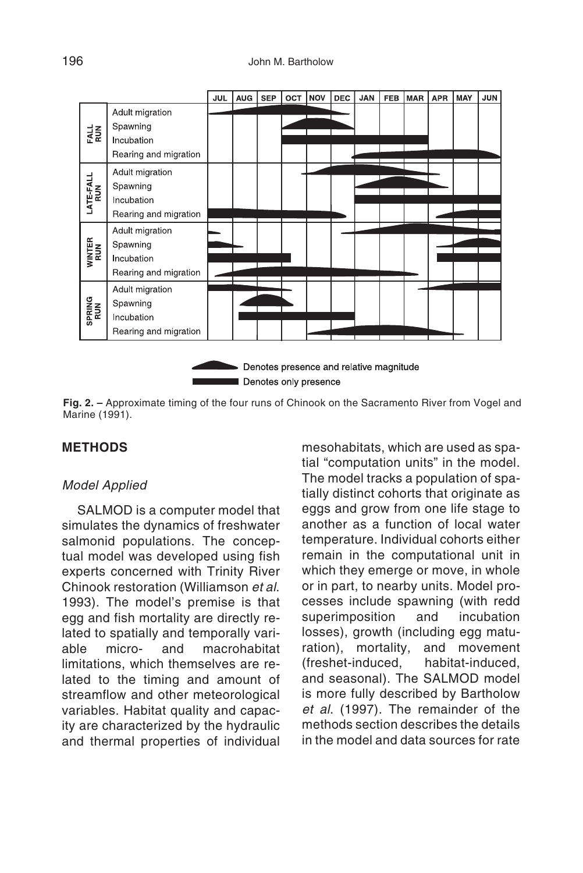

**Fig. 2. –** Approximate timing of the four runs of Chinook on the Sacramento River from Vogel and Marine (1991).

## **METHODS**

#### Model Applied

SALMOD is a computer model that simulates the dynamics of freshwater salmonid populations. The conceptual model was developed using fish experts concerned with Trinity River Chinook restoration (Williamson et al. 1993). The model's premise is that egg and fish mortality are directly related to spatially and temporally variable micro- and macrohabitat limitations, which themselves are related to the timing and amount of streamflow and other meteorological variables. Habitat quality and capacity are characterized by the hydraulic and thermal properties of individual mesohabitats, which are used as spatial "computation units" in the model. The model tracks a population of spatially distinct cohorts that originate as eggs and grow from one life stage to another as a function of local water temperature. Individual cohorts either remain in the computational unit in which they emerge or move, in whole or in part, to nearby units. Model processes include spawning (with redd superimposition and incubation losses), growth (including egg maturation), mortality, and movement (freshet-induced, habitat-induced, and seasonal). The SALMOD model is more fully described by Bartholow et al. (1997). The remainder of the methods section describes the details in the model and data sources for rate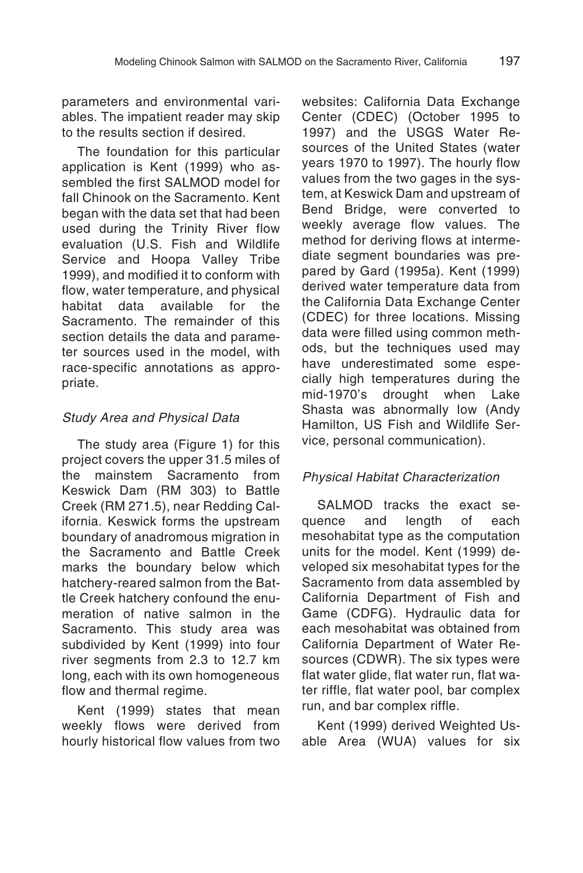parameters and environmental variables. The impatient reader may skip to the results section if desired.

The foundation for this particular application is Kent (1999) who assembled the first SALMOD model for fall Chinook on the Sacramento. Kent began with the data set that had been used during the Trinity River flow evaluation (U.S. Fish and Wildlife Service and Hoopa Valley Tribe 1999), and modified it to conform with flow, water temperature, and physical<br>habitat data available for the available for Sacramento. The remainder of this section details the data and parameter sources used in the model, with race-specific annotations as appropriate.

#### Study Area and Physical Data

The study area (Figure 1) for this project covers the upper 31.5 miles of the mainstem Sacramento from Keswick Dam (RM 303) to Battle Creek (RM 271.5), near Redding California. Keswick forms the upstream boundary of anadromous migration in the Sacramento and Battle Creek marks the boundary below which hatchery-reared salmon from the Battle Creek hatchery confound the enumeration of native salmon in the Sacramento. This study area was subdivided by Kent (1999) into four river segments from 2.3 to 12.7 km long, each with its own homogeneous flow and thermal regime.

Kent (1999) states that mean weekly flows were derived from hourly historical flow values from two websites: California Data Exchange Center (CDEC) (October 1995 to 1997) and the USGS Water Resources of the United States (water years 1970 to 1997). The hourly flow values from the two gages in the system, at Keswick Dam and upstream of Bend Bridge, were converted to weekly average flow values. The method for deriving flows at intermediate segment boundaries was prepared by Gard (1995a). Kent (1999) derived water temperature data from the California Data Exchange Center (CDEC) for three locations. Missing data were filled using common methods, but the techniques used may have underestimated some especially high temperatures during the<br>mid-1970's drought when Lake mid-1970's drought when Lake Shasta was abnormally low (Andy Hamilton, US Fish and Wildlife Service, personal communication).

#### Physical Habitat Characterization

SALMOD tracks the exact sequence and length of each mesohabitat type as the computation units for the model. Kent (1999) developed six mesohabitat types for the Sacramento from data assembled by California Department of Fish and Game (CDFG). Hydraulic data for each mesohabitat was obtained from California Department of Water Resources (CDWR). The six types were flat water glide, flat water run, flat water riffle, flat water pool, bar complex run, and bar complex riffle.

Kent (1999) derived Weighted Usable Area (WUA) values for six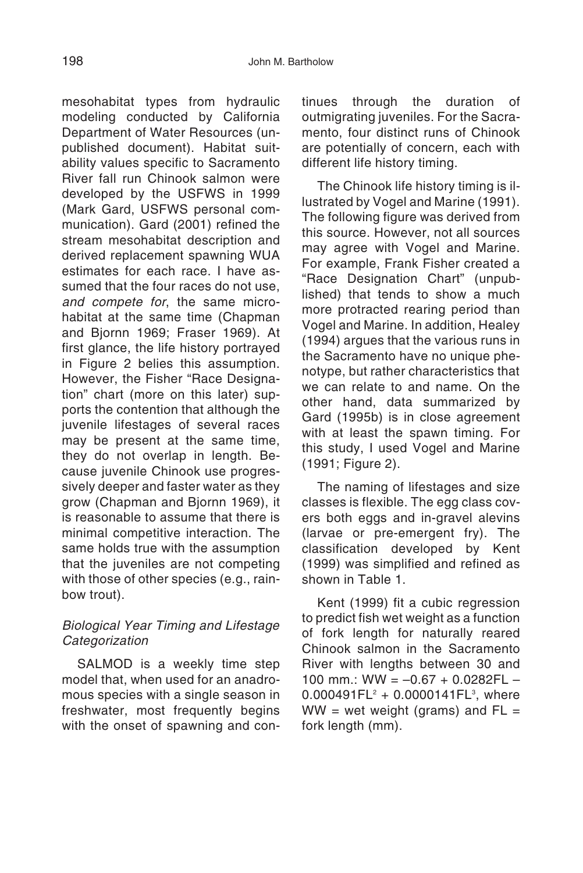mesohabitat types from hydraulic modeling conducted by California Department of Water Resources (unpublished document). Habitat suitability values specific to Sacramento River fall run Chinook salmon were developed by the USFWS in 1999 (Mark Gard, USFWS personal communication). Gard (2001) refined the stream mesohabitat description and derived replacement spawning WUA estimates for each race. I have assumed that the four races do not use, and compete for, the same microhabitat at the same time (Chapman and Bjornn 1969; Fraser 1969). At first glance, the life history portrayed in Figure 2 belies this assumption. However, the Fisher "Race Designation" chart (more on this later) supports the contention that although the iuvenile lifestages of several races may be present at the same time, they do not overlap in length. Because juvenile Chinook use progressively deeper and faster water as they grow (Chapman and Bjornn 1969), it is reasonable to assume that there is minimal competitive interaction. The same holds true with the assumption that the juveniles are not competing with those of other species (e.g., rainbow trout).

## Biological Year Timing and Lifestage **Categorization**

SALMOD is a weekly time step model that, when used for an anadromous species with a single season in freshwater, most frequently begins with the onset of spawning and continues through the duration of outmigrating juveniles. For the Sacramento, four distinct runs of Chinook are potentially of concern, each with different life history timing.

The Chinook life history timing is illustrated by Vogel and Marine (1991). The following figure was derived from this source. However, not all sources may agree with Vogel and Marine. For example, Frank Fisher created a "Race Designation Chart" (unpublished) that tends to show a much more protracted rearing period than Vogel and Marine. In addition, Healey (1994) argues that the various runs in the Sacramento have no unique phenotype, but rather characteristics that we can relate to and name. On the other hand, data summarized by Gard (1995b) is in close agreement with at least the spawn timing. For this study, I used Vogel and Marine (1991; Figure 2).

The naming of lifestages and size classes is flexible. The egg class covers both eggs and in-gravel alevins (larvae or pre-emergent fry). The classification developed by Kent (1999) was simplified and refined as shown in Table 1.

Kent (1999) fit a cubic regression to predict fish wet weight as a function of fork length for naturally reared Chinook salmon in the Sacramento River with lengths between 30 and 100 mm.: WW =  $-0.67 + 0.0282FL 0.000491FL^2 + 0.0000141FL^3$ , where WW = wet weight (grams) and  $FL =$ fork length (mm).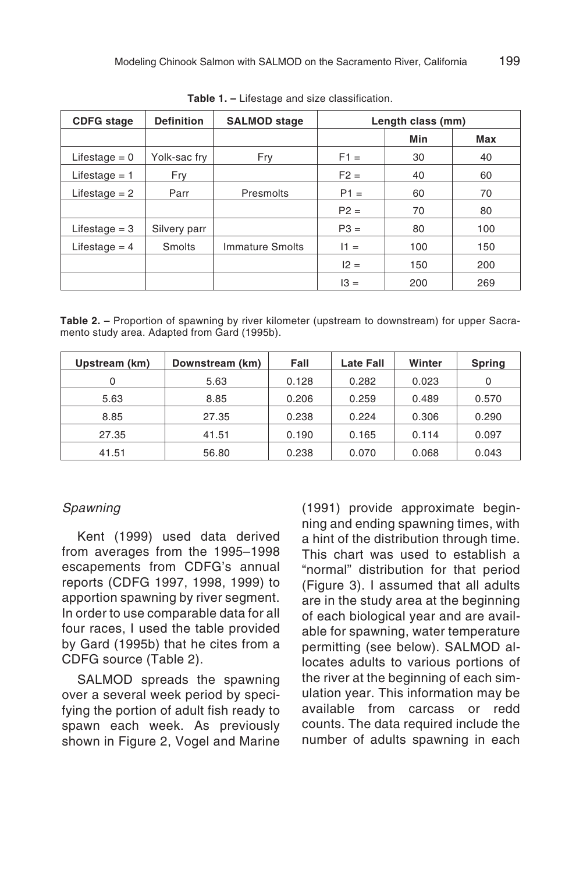| <b>CDFG</b> stage | <b>Definition</b> | <b>SALMOD stage</b> | Length class (mm) |     |     |
|-------------------|-------------------|---------------------|-------------------|-----|-----|
|                   |                   |                     |                   | Min | Max |
| Lifestage $= 0$   | Yolk-sac fry      | Fry                 | $F1 =$            | 30  | 40  |
| Lifestage $= 1$   | Fry               |                     | $F2 =$            | 40  | 60  |
| Lifestage $= 2$   | Parr              | Presmolts           | $P1 =$            | 60  | 70  |
|                   |                   |                     | $P2 =$            | 70  | 80  |
| Lifestage $=$ 3   | Silvery parr      |                     | $P3 =$            | 80  | 100 |
| Lifestage $=$ 4   | Smolts            | Immature Smolts     | $11 =$            | 100 | 150 |
|                   |                   |                     | $12 =$            | 150 | 200 |
|                   |                   |                     | $13 =$            | 200 | 269 |

**Table 1. –** Lifestage and size classification.

**Table 2. –** Proportion of spawning by river kilometer (upstream to downstream) for upper Sacramento study area. Adapted from Gard (1995b).

| Upstream (km) | Downstream (km) | Fall  | <b>Late Fall</b> | Winter | Spring |
|---------------|-----------------|-------|------------------|--------|--------|
| 0             | 5.63            | 0.128 | 0.282            | 0.023  | 0      |
| 5.63          | 8.85            | 0.206 | 0.259            | 0.489  | 0.570  |
| 8.85          | 27.35           | 0.238 | 0.224            | 0.306  | 0.290  |
| 27.35         | 41.51           | 0.190 | 0.165            | 0.114  | 0.097  |
| 41.51         | 56.80           | 0.238 | 0.070            | 0.068  | 0.043  |

#### Spawning

Kent (1999) used data derived from averages from the 1995–1998 escapements from CDFG's annual reports (CDFG 1997, 1998, 1999) to apportion spawning by river segment. In order to use comparable data for all four races, I used the table provided by Gard (1995b) that he cites from a CDFG source (Table 2).

SALMOD spreads the spawning over a several week period by specifying the portion of adult fish ready to spawn each week. As previously shown in Figure 2, Vogel and Marine

(1991) provide approximate beginning and ending spawning times, with a hint of the distribution through time. This chart was used to establish a "normal" distribution for that period (Figure 3). I assumed that all adults are in the study area at the beginning of each biological year and are available for spawning, water temperature permitting (see below). SALMOD allocates adults to various portions of the river at the beginning of each simulation year. This information may be available from carcass or redd counts. The data required include the number of adults spawning in each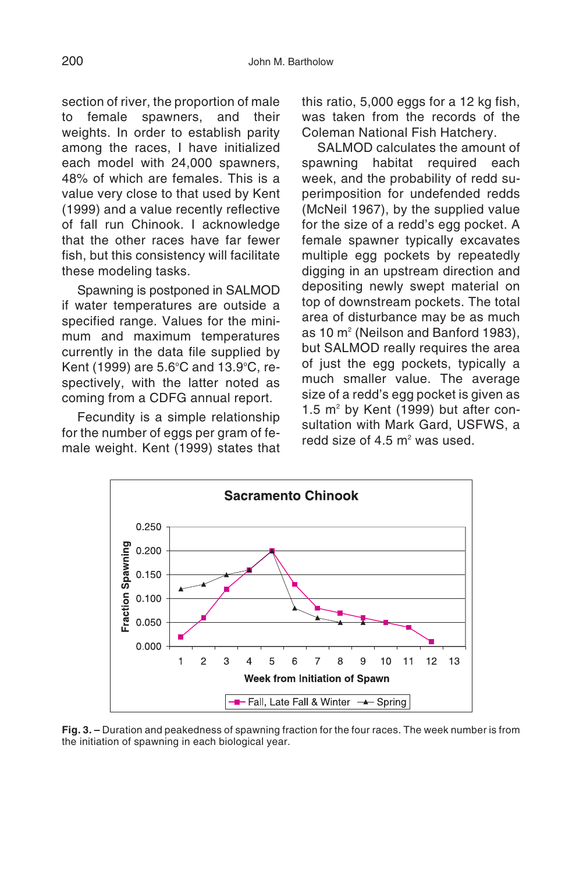section of river, the proportion of male to female spawners, and their weights. In order to establish parity among the races, I have initialized each model with 24,000 spawners, 48% of which are females. This is a value very close to that used by Kent (1999) and a value recently reflective of fall run Chinook. I acknowledge that the other races have far fewer fish, but this consistency will facilitate these modeling tasks.

Spawning is postponed in SALMOD if water temperatures are outside a specified range. Values for the minimum and maximum temperatures currently in the data file supplied by Kent (1999) are 5.6°C and 13.9°C, respectively, with the latter noted as coming from a CDFG annual report.

Fecundity is a simple relationship for the number of eggs per gram of female weight. Kent (1999) states that this ratio, 5,000 eggs for a 12 kg fish, was taken from the records of the Coleman National Fish Hatchery.

SALMOD calculates the amount of spawning habitat required each week, and the probability of redd superimposition for undefended redds (McNeil 1967), by the supplied value for the size of a redd's egg pocket. A female spawner typically excavates multiple egg pockets by repeatedly digging in an upstream direction and depositing newly swept material on top of downstream pockets. The total area of disturbance may be as much as 10 m<sup>2</sup> (Neilson and Banford 1983), but SALMOD really requires the area of just the egg pockets, typically a much smaller value. The average size of a redd's egg pocket is given as 1.5  $m^2$  by Kent (1999) but after consultation with Mark Gard, USFWS, a redd size of 4.5  $m^2$  was used.



**Fig. 3. –** Duration and peakedness of spawning fraction for the four races. The week number is from the initiation of spawning in each biological year.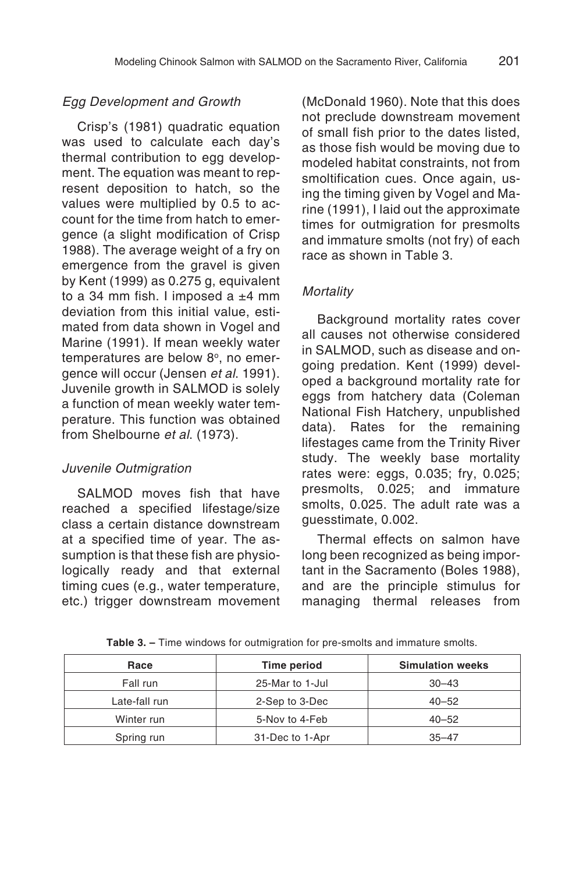#### Egg Development and Growth

Crisp's (1981) quadratic equation was used to calculate each day's thermal contribution to egg development. The equation was meant to represent deposition to hatch, so the values were multiplied by 0.5 to account for the time from hatch to emergence (a slight modification of Crisp 1988). The average weight of a fry on emergence from the gravel is given by Kent (1999) as 0.275 g, equivalent to a 34 mm fish. I imposed a  $±4$  mm deviation from this initial value, estimated from data shown in Vogel and Marine (1991). If mean weekly water temperatures are below 8°, no emergence will occur (Jensen et al. 1991). Juvenile growth in SALMOD is solely a function of mean weekly water temperature. This function was obtained from Shelbourne et al. (1973).

#### Juvenile Outmigration

SALMOD moves fish that have reached a specified lifestage/size class a certain distance downstream at a specified time of year. The assumption is that these fish are physiologically ready and that external timing cues (e.g., water temperature, etc.) trigger downstream movement (McDonald 1960). Note that this does not preclude downstream movement of small fish prior to the dates listed, as those fish would be moving due to modeled habitat constraints, not from smoltification cues. Once again, using the timing given by Vogel and Marine (1991), I laid out the approximate times for outmigration for presmolts and immature smolts (not fry) of each race as shown in Table 3.

#### **Mortality**

Background mortality rates cover all causes not otherwise considered in SALMOD, such as disease and ongoing predation. Kent (1999) developed a background mortality rate for eggs from hatchery data (Coleman National Fish Hatchery, unpublished data). Rates for the remaining lifestages came from the Trinity River study. The weekly base mortality rates were: eggs, 0.035; fry, 0.025; presmolts, 0.025; and immature smolts, 0.025. The adult rate was a guesstimate, 0.002.

Thermal effects on salmon have long been recognized as being important in the Sacramento (Boles 1988), and are the principle stimulus for managing thermal releases from

| Race          | Time period     | <b>Simulation weeks</b> |
|---------------|-----------------|-------------------------|
| Fall run      | 25-Mar to 1-Jul | $30 - 43$               |
| Late-fall run | 2-Sep to 3-Dec  | $40 - 52$               |
| Winter run    | 5-Nov to 4-Feb  | $40 - 52$               |
| Spring run    | 31-Dec to 1-Apr | $35 - 47$               |

**Table 3. –** Time windows for outmigration for pre-smolts and immature smolts.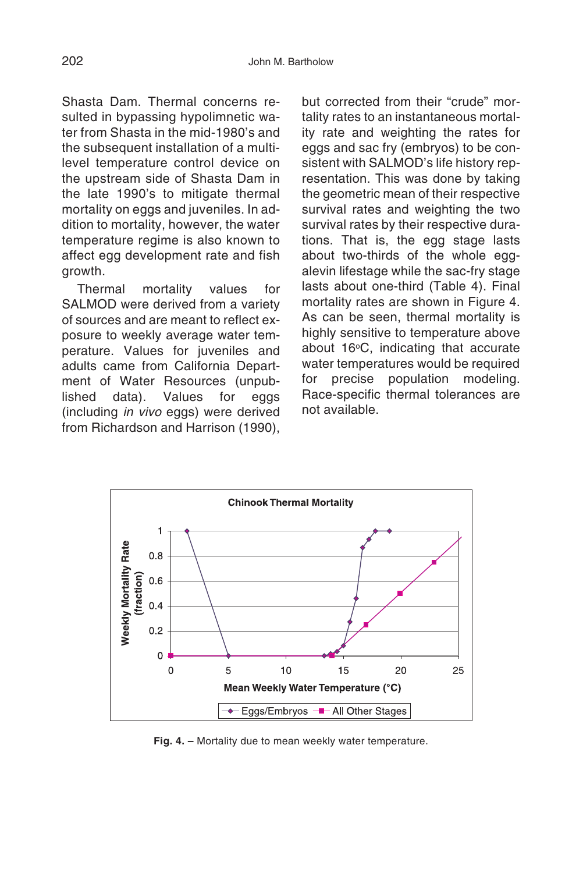Shasta Dam. Thermal concerns resulted in bypassing hypolimnetic water from Shasta in the mid-1980's and the subsequent installation of a multilevel temperature control device on the upstream side of Shasta Dam in the late 1990's to mitigate thermal mortality on eggs and juveniles. In addition to mortality, however, the water temperature regime is also known to affect egg development rate and fish growth.

Thermal mortality values for SALMOD were derived from a variety of sources and are meant to reflect exposure to weekly average water temperature. Values for juveniles and adults came from California Department of Water Resources (unpublished data). Values for eggs (including in vivo eggs) were derived from Richardson and Harrison (1990),

but corrected from their "crude" mortality rates to an instantaneous mortality rate and weighting the rates for eggs and sac fry (embryos) to be consistent with SALMOD's life history representation. This was done by taking the geometric mean of their respective survival rates and weighting the two survival rates by their respective durations. That is, the egg stage lasts about two-thirds of the whole eggalevin lifestage while the sac-fry stage lasts about one-third (Table 4). Final mortality rates are shown in Figure 4. As can be seen, thermal mortality is highly sensitive to temperature above about  $16^{\circ}$ C, indicating that accurate water temperatures would be required for precise population modeling. Race-specific thermal tolerances are not available.



**Fig. 4. –** Mortality due to mean weekly water temperature.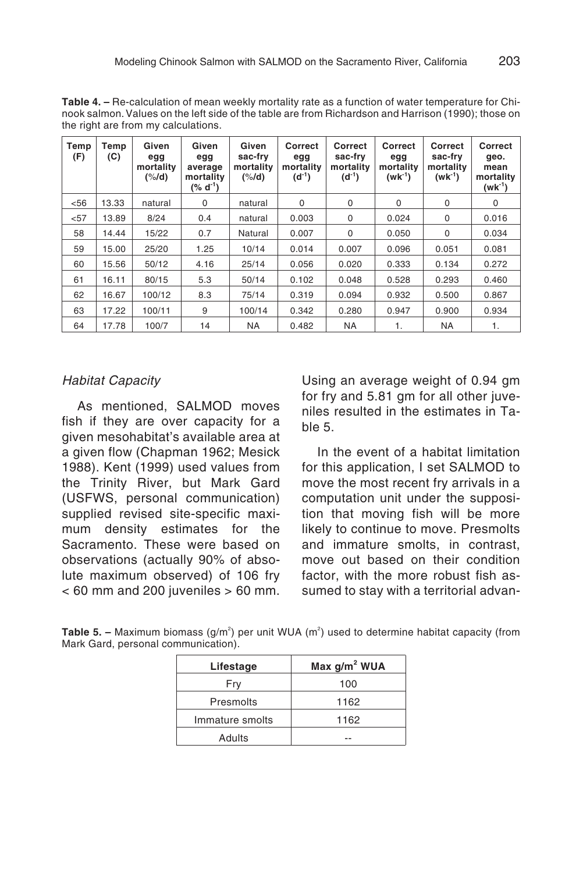**Table 4. –** Re-calculation of mean weekly mortality rate as a function of water temperature for Chinook salmon.Values on the left side of the table are from Richardson and Harrison (1990); those on the right are from my calculations.

| Temp<br>(F) | Temp<br>(C) | Given<br>egg<br>mortality<br>$($ %/d) | Given<br>egg<br>average<br>mortality<br>$(% d^{-1})$ | Given<br>sac-frv<br>mortality<br>$($ %/d) | Correct<br>egg<br>mortality<br>$(d^{-1})$ | Correct<br>sac-fry<br>mortality<br>$(d^{-1})$ | Correct<br>egg<br>mortality<br>$(wk^{-1})$ | Correct<br>sac-fry<br>mortality<br>$(wk^{-1})$ | Correct<br>qeo.<br>mean<br>mortality<br>$(wk^{-1})$ |
|-------------|-------------|---------------------------------------|------------------------------------------------------|-------------------------------------------|-------------------------------------------|-----------------------------------------------|--------------------------------------------|------------------------------------------------|-----------------------------------------------------|
| < 56        | 13.33       | natural                               | $\Omega$                                             | natural                                   | $\Omega$                                  | 0                                             | $\Omega$                                   | 0                                              | 0                                                   |
| < 57        | 13.89       | 8/24                                  | 0.4                                                  | natural                                   | 0.003                                     | 0                                             | 0.024                                      | 0                                              | 0.016                                               |
| 58          | 14.44       | 15/22                                 | 0.7                                                  | Natural                                   | 0.007                                     | 0                                             | 0.050                                      | 0                                              | 0.034                                               |
| 59          | 15.00       | 25/20                                 | 1.25                                                 | 10/14                                     | 0.014                                     | 0.007                                         | 0.096                                      | 0.051                                          | 0.081                                               |
| 60          | 15.56       | 50/12                                 | 4.16                                                 | 25/14                                     | 0.056                                     | 0.020                                         | 0.333                                      | 0.134                                          | 0.272                                               |
| 61          | 16.11       | 80/15                                 | 5.3                                                  | 50/14                                     | 0.102                                     | 0.048                                         | 0.528                                      | 0.293                                          | 0.460                                               |
| 62          | 16.67       | 100/12                                | 8.3                                                  | 75/14                                     | 0.319                                     | 0.094                                         | 0.932                                      | 0.500                                          | 0.867                                               |
| 63          | 17.22       | 100/11                                | 9                                                    | 100/14                                    | 0.342                                     | 0.280                                         | 0.947                                      | 0.900                                          | 0.934                                               |
| 64          | 17.78       | 100/7                                 | 14                                                   | <b>NA</b>                                 | 0.482                                     | <b>NA</b>                                     | 1.                                         | <b>NA</b>                                      | 1.                                                  |

#### Habitat Capacity

As mentioned, SALMOD moves fish if they are over capacity for a given mesohabitat's available area at a given flow (Chapman 1962; Mesick 1988). Kent (1999) used values from the Trinity River, but Mark Gard (USFWS, personal communication) supplied revised site-specific maximum density estimates for the Sacramento. These were based on observations (actually 90% of absolute maximum observed) of 106 fry  $<$  60 mm and 200 juveniles  $>$  60 mm. Using an average weight of 0.94 gm for fry and 5.81 gm for all other juveniles resulted in the estimates in Table 5.

In the event of a habitat limitation for this application, I set SALMOD to move the most recent fry arrivals in a computation unit under the supposition that moving fish will be more likely to continue to move. Presmolts and immature smolts, in contrast, move out based on their condition factor, with the more robust fish assumed to stay with a territorial advan-

| Mark Gard, personal communication). |  | <b>Table 5.</b> – Maximum biomass $(g/m^2)$ per unit WUA $(m^2)$ used to determine habitat capacity (from |
|-------------------------------------|--|-----------------------------------------------------------------------------------------------------------|
|                                     |  |                                                                                                           |

| Lifestage       | Max g/m <sup>2</sup> WUA |
|-----------------|--------------------------|
| Fry             | 100                      |
| Presmolts       | 1162                     |
| Immature smolts | 1162                     |
| Adults          |                          |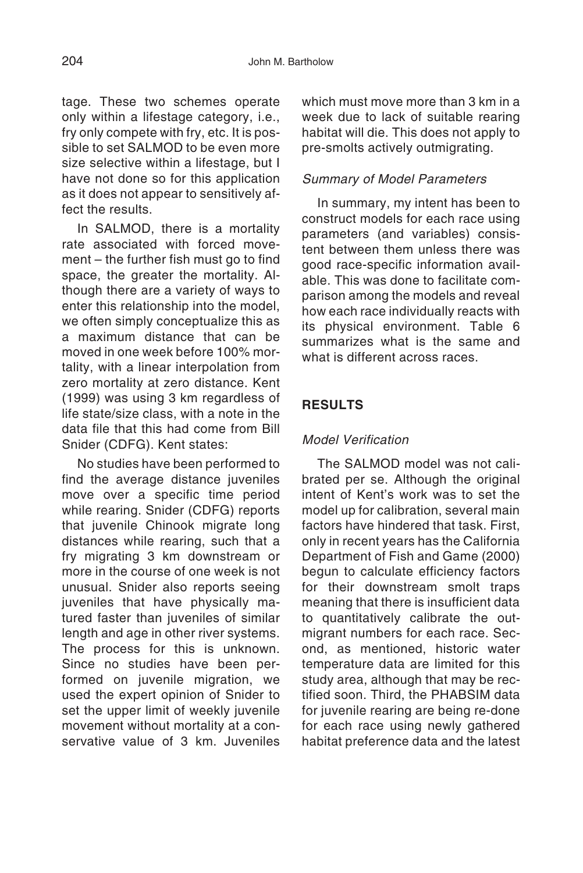tage. These two schemes operate only within a lifestage category, i.e., fry only compete with fry, etc. It is possible to set SALMOD to be even more size selective within a lifestage, but I have not done so for this application as it does not appear to sensitively affect the results

In SALMOD, there is a mortality rate associated with forced movement – the further fish must go to find space, the greater the mortality. Although there are a variety of ways to enter this relationship into the model, we often simply conceptualize this as a maximum distance that can be moved in one week before 100% mortality, with a linear interpolation from zero mortality at zero distance. Kent (1999) was using 3 km regardless of life state/size class, with a note in the data file that this had come from Bill Snider (CDFG). Kent states:

No studies have been performed to find the average distance juveniles move over a specific time period while rearing. Snider (CDFG) reports that juvenile Chinook migrate long distances while rearing, such that a fry migrating 3 km downstream or more in the course of one week is not unusual. Snider also reports seeing juveniles that have physically matured faster than juveniles of similar length and age in other river systems. The process for this is unknown. Since no studies have been performed on juvenile migration, we used the expert opinion of Snider to set the upper limit of weekly juvenile movement without mortality at a conservative value of 3 km. Juveniles which must move more than 3 km in a week due to lack of suitable rearing habitat will die. This does not apply to pre-smolts actively outmigrating.

### Summary of Model Parameters

In summary, my intent has been to construct models for each race using parameters (and variables) consistent between them unless there was good race-specific information available. This was done to facilitate comparison among the models and reveal how each race individually reacts with its physical environment. Table 6 summarizes what is the same and what is different across races.

## **RESULTS**

### Model Verification

The SALMOD model was not calibrated per se. Although the original intent of Kent's work was to set the model up for calibration, several main factors have hindered that task. First, only in recent years has the California Department of Fish and Game (2000) begun to calculate efficiency factors for their downstream smolt traps meaning that there is insufficient data to quantitatively calibrate the outmigrant numbers for each race. Second, as mentioned, historic water temperature data are limited for this study area, although that may be rectified soon. Third, the PHABSIM data for juvenile rearing are being re-done for each race using newly gathered habitat preference data and the latest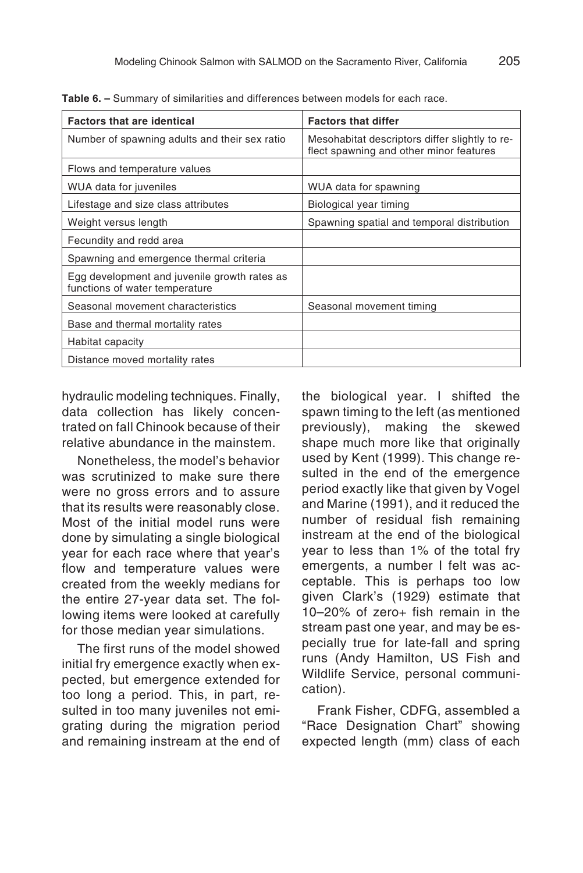| <b>Factors that are identical</b>                                              | <b>Factors that differ</b>                                                                |
|--------------------------------------------------------------------------------|-------------------------------------------------------------------------------------------|
| Number of spawning adults and their sex ratio                                  | Mesohabitat descriptors differ slightly to re-<br>flect spawning and other minor features |
| Flows and temperature values                                                   |                                                                                           |
| WUA data for juveniles                                                         | WUA data for spawning                                                                     |
| Lifestage and size class attributes                                            | Biological year timing                                                                    |
| Weight versus length                                                           | Spawning spatial and temporal distribution                                                |
| Fecundity and redd area                                                        |                                                                                           |
| Spawning and emergence thermal criteria                                        |                                                                                           |
| Egg development and juvenile growth rates as<br>functions of water temperature |                                                                                           |
| Seasonal movement characteristics                                              | Seasonal movement timing                                                                  |
| Base and thermal mortality rates                                               |                                                                                           |
| Habitat capacity                                                               |                                                                                           |
| Distance moved mortality rates                                                 |                                                                                           |

**Table 6. –** Summary of similarities and differences between models for each race.

hydraulic modeling techniques. Finally, data collection has likely concentrated on fall Chinook because of their relative abundance in the mainstem.

Nonetheless, the model's behavior was scrutinized to make sure there were no gross errors and to assure that its results were reasonably close. Most of the initial model runs were done by simulating a single biological year for each race where that year's flow and temperature values were created from the weekly medians for the entire 27-year data set. The following items were looked at carefully for those median year simulations.

The first runs of the model showed initial fry emergence exactly when expected, but emergence extended for too long a period. This, in part, resulted in too many juveniles not emigrating during the migration period and remaining instream at the end of the biological year. I shifted the spawn timing to the left (as mentioned previously), making the skewed shape much more like that originally used by Kent (1999). This change resulted in the end of the emergence period exactly like that given by Vogel and Marine (1991), and it reduced the number of residual fish remaining instream at the end of the biological year to less than 1% of the total fry emergents, a number I felt was acceptable. This is perhaps too low given Clark's (1929) estimate that 10–20% of zero+ fish remain in the stream past one year, and may be especially true for late-fall and spring runs (Andy Hamilton, US Fish and Wildlife Service, personal communication).

Frank Fisher, CDFG, assembled a "Race Designation Chart" showing expected length (mm) class of each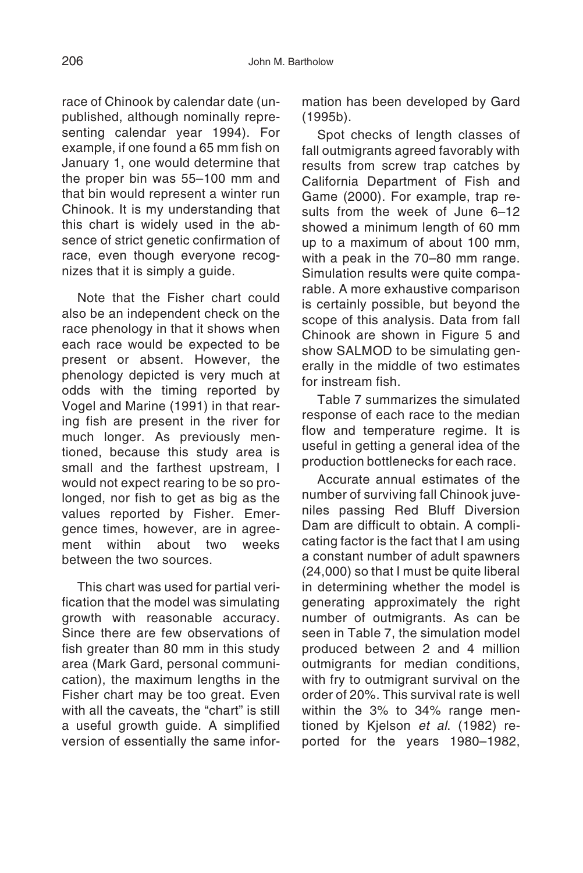race of Chinook by calendar date (unpublished, although nominally representing calendar year 1994). For example, if one found a 65 mm fish on January 1, one would determine that the proper bin was 55–100 mm and that bin would represent a winter run Chinook. It is my understanding that this chart is widely used in the absence of strict genetic confirmation of race, even though everyone recognizes that it is simply a guide.

Note that the Fisher chart could also be an independent check on the race phenology in that it shows when each race would be expected to be present or absent. However, the phenology depicted is very much at odds with the timing reported by Vogel and Marine (1991) in that rearing fish are present in the river for much longer. As previously mentioned, because this study area is small and the farthest upstream, I would not expect rearing to be so prolonged, nor fish to get as big as the values reported by Fisher. Emergence times, however, are in agreement within about two weeks between the two sources.

This chart was used for partial verification that the model was simulating growth with reasonable accuracy. Since there are few observations of fish greater than 80 mm in this study area (Mark Gard, personal communication), the maximum lengths in the Fisher chart may be too great. Even with all the caveats, the "chart" is still a useful growth guide. A simplified version of essentially the same information has been developed by Gard (1995b).

Spot checks of length classes of fall outmigrants agreed favorably with results from screw trap catches by California Department of Fish and Game (2000). For example, trap results from the week of June 6–12 showed a minimum length of 60 mm up to a maximum of about 100 mm, with a peak in the 70–80 mm range. Simulation results were quite comparable. A more exhaustive comparison is certainly possible, but beyond the scope of this analysis. Data from fall Chinook are shown in Figure 5 and show SALMOD to be simulating generally in the middle of two estimates for instream fish.

Table 7 summarizes the simulated response of each race to the median flow and temperature regime. It is useful in getting a general idea of the production bottlenecks for each race.

Accurate annual estimates of the number of surviving fall Chinook juveniles passing Red Bluff Diversion Dam are difficult to obtain. A complicating factor is the fact that I am using a constant number of adult spawners (24,000) so that I must be quite liberal in determining whether the model is generating approximately the right number of outmigrants. As can be seen in Table 7, the simulation model produced between 2 and 4 million outmigrants for median conditions, with fry to outmigrant survival on the order of 20%. This survival rate is well within the 3% to 34% range mentioned by Kjelson et al. (1982) reported for the years 1980–1982,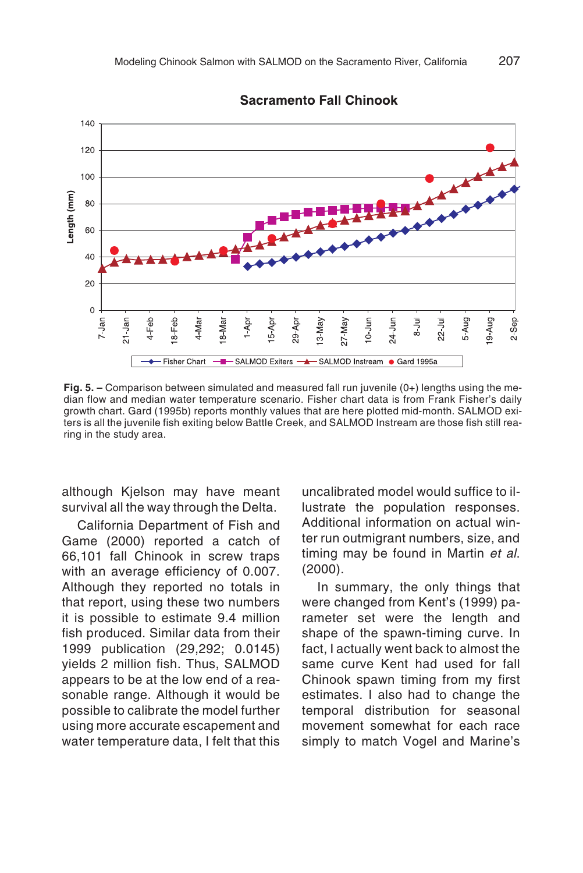**Sacramento Fall Chinook** 



**Fig. 5. –** Comparison between simulated and measured fall run juvenile (0+) lengths using the median flow and median water temperature scenario. Fisher chart data is from Frank Fisher's daily growth chart. Gard (1995b) reports monthly values that are here plotted mid-month. SALMOD exiters is all the juvenile fish exiting below Battle Creek, and SALMOD Instream are those fish still rearing in the study area.

although Kjelson may have meant survival all the way through the Delta.

California Department of Fish and Game (2000) reported a catch of 66,101 fall Chinook in screw traps with an average efficiency of 0.007. Although they reported no totals in that report, using these two numbers it is possible to estimate 9.4 million fish produced. Similar data from their 1999 publication (29,292; 0.0145) yields 2 million fish. Thus, SALMOD appears to be at the low end of a reasonable range. Although it would be possible to calibrate the model further using more accurate escapement and water temperature data, I felt that this

uncalibrated model would suffice to illustrate the population responses. Additional information on actual winter run outmigrant numbers, size, and timing may be found in Martin et al. (2000).

In summary, the only things that were changed from Kent's (1999) parameter set were the length and shape of the spawn-timing curve. In fact, I actually went back to almost the same curve Kent had used for fall Chinook spawn timing from my first estimates. I also had to change the temporal distribution for seasonal movement somewhat for each race simply to match Vogel and Marine's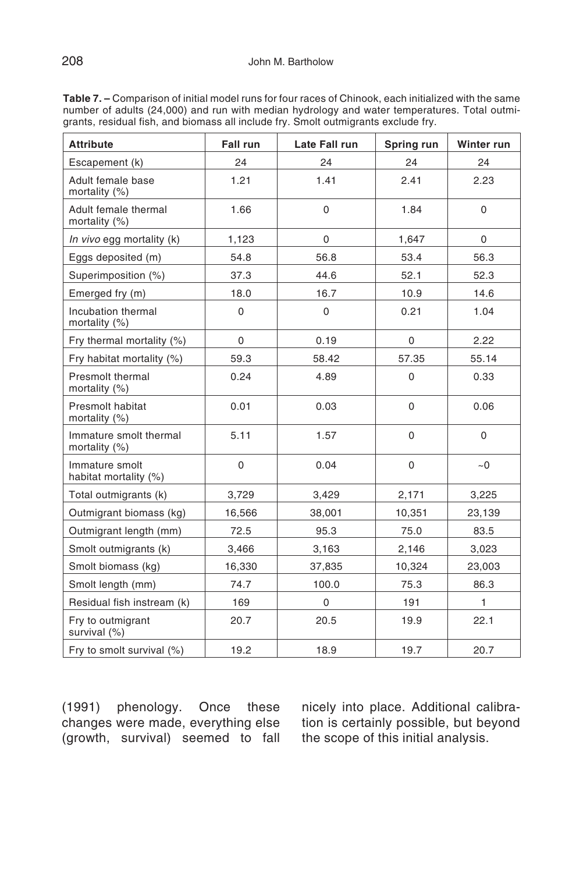**Table 7. –** Comparison of initial model runs for four races of Chinook, each initialized with the same number of adults (24,000) and run with median hydrology and water temperatures. Total outmigrants, residual fish, and biomass all include fry. Smolt outmigrants exclude fry.

| <b>Attribute</b>                         | Fall run    | Late Fall run | Spring run  | Winter run   |
|------------------------------------------|-------------|---------------|-------------|--------------|
| Escapement (k)                           | 24          | 24            | 24          | 24           |
| Adult female base<br>mortality (%)       | 1.21        | 1.41          | 2.41        | 2.23         |
| Adult female thermal<br>mortality (%)    | 1.66        | $\mathbf 0$   | 1.84        | $\mathbf 0$  |
| In vivo egg mortality (k)                | 1,123       | 0             | 1,647       | 0            |
| Eggs deposited (m)                       | 54.8        | 56.8          | 53.4        | 56.3         |
| Superimposition (%)                      | 37.3        | 44.6          | 52.1        | 52.3         |
| Emerged fry (m)                          | 18.0        | 16.7          | 10.9        | 14.6         |
| Incubation thermal<br>mortality (%)      | $\mathbf 0$ | $\Omega$      | 0.21        | 1.04         |
| Fry thermal mortality (%)                | 0           | 0.19          | $\mathbf 0$ | 2.22         |
| Fry habitat mortality (%)                | 59.3        | 58.42         | 57.35       | 55.14        |
| Presmolt thermal<br>mortality (%)        | 0.24        | 4.89          | $\mathbf 0$ | 0.33         |
| <b>Presmolt habitat</b><br>mortality (%) | 0.01        | 0.03          | $\mathbf 0$ | 0.06         |
| Immature smolt thermal<br>mortality (%)  | 5.11        | 1.57          | $\mathbf 0$ | $\Omega$     |
| Immature smolt<br>habitat mortality (%)  | 0           | 0.04          | $\mathbf 0$ | ~10          |
| Total outmigrants (k)                    | 3,729       | 3,429         | 2,171       | 3,225        |
| Outmigrant biomass (kg)                  | 16,566      | 38,001        | 10,351      | 23,139       |
| Outmigrant length (mm)                   | 72.5        | 95.3          | 75.0        | 83.5         |
| Smolt outmigrants (k)                    | 3,466       | 3,163         | 2,146       | 3,023        |
| Smolt biomass (kg)                       | 16,330      | 37,835        | 10,324      | 23,003       |
| Smolt length (mm)                        | 74.7        | 100.0         | 75.3        | 86.3         |
| Residual fish instream (k)               | 169         | $\mathbf 0$   | 191         | $\mathbf{1}$ |
| Fry to outmigrant<br>survival (%)        | 20.7        | 20.5          | 19.9        | 22.1         |
| Fry to smolt survival (%)                | 19.2        | 18.9          | 19.7        | 20.7         |

(1991) phenology. Once these changes were made, everything else (growth, survival) seemed to fall

nicely into place. Additional calibration is certainly possible, but beyond the scope of this initial analysis.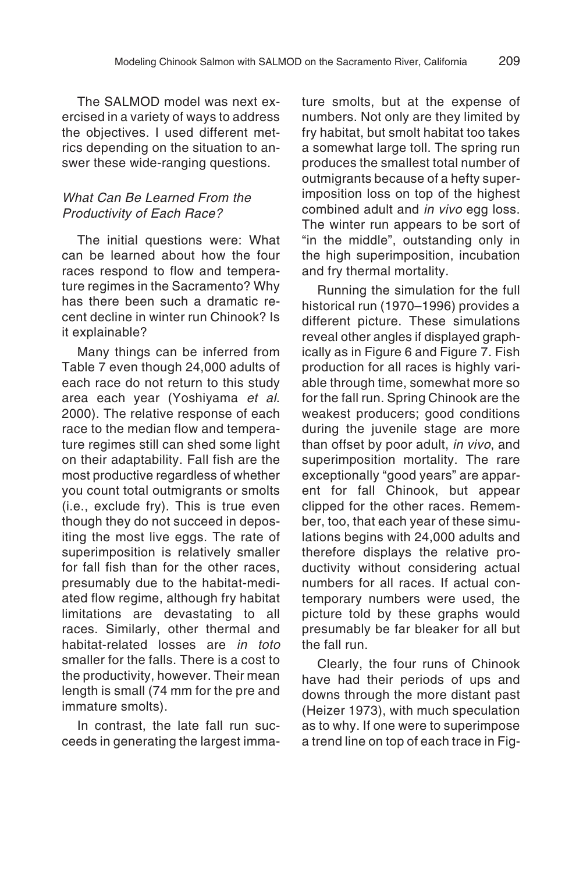The SALMOD model was next exercised in a variety of ways to address the objectives. I used different metrics depending on the situation to answer these wide-ranging questions.

#### What Can Be Learned From the Productivity of Each Race?

The initial questions were: What can be learned about how the four races respond to flow and temperature regimes in the Sacramento? Why has there been such a dramatic recent decline in winter run Chinook? Is it explainable?

Many things can be inferred from Table 7 even though 24,000 adults of each race do not return to this study area each year (Yoshiyama et al. 2000). The relative response of each race to the median flow and temperature regimes still can shed some light on their adaptability. Fall fish are the most productive regardless of whether you count total outmigrants or smolts (i.e., exclude fry). This is true even though they do not succeed in depositing the most live eggs. The rate of superimposition is relatively smaller for fall fish than for the other races presumably due to the habitat-mediated flow regime, although fry habitat limitations are devastating to all races. Similarly, other thermal and habitat-related losses are in toto smaller for the falls. There is a cost to the productivity, however. Their mean length is small (74 mm for the pre and immature smolts).

In contrast, the late fall run succeeds in generating the largest immature smolts, but at the expense of numbers. Not only are they limited by fry habitat, but smolt habitat too takes a somewhat large toll. The spring run produces the smallest total number of outmigrants because of a hefty superimposition loss on top of the highest combined adult and *in vivo* egg loss. The winter run appears to be sort of "in the middle", outstanding only in the high superimposition, incubation and fry thermal mortality.

Running the simulation for the full historical run (1970–1996) provides a different picture. These simulations reveal other angles if displayed graphically as in Figure 6 and Figure 7. Fish production for all races is highly variable through time, somewhat more so for the fall run. Spring Chinook are the weakest producers; good conditions during the juvenile stage are more than offset by poor adult, in vivo, and superimposition mortality. The rare exceptionally "good years" are apparent for fall Chinook, but appear clipped for the other races. Remember, too, that each year of these simulations begins with 24,000 adults and therefore displays the relative productivity without considering actual numbers for all races. If actual contemporary numbers were used, the picture told by these graphs would presumably be far bleaker for all but the fall run.

Clearly, the four runs of Chinook have had their periods of ups and downs through the more distant past (Heizer 1973), with much speculation as to why. If one were to superimpose a trend line on top of each trace in Fig-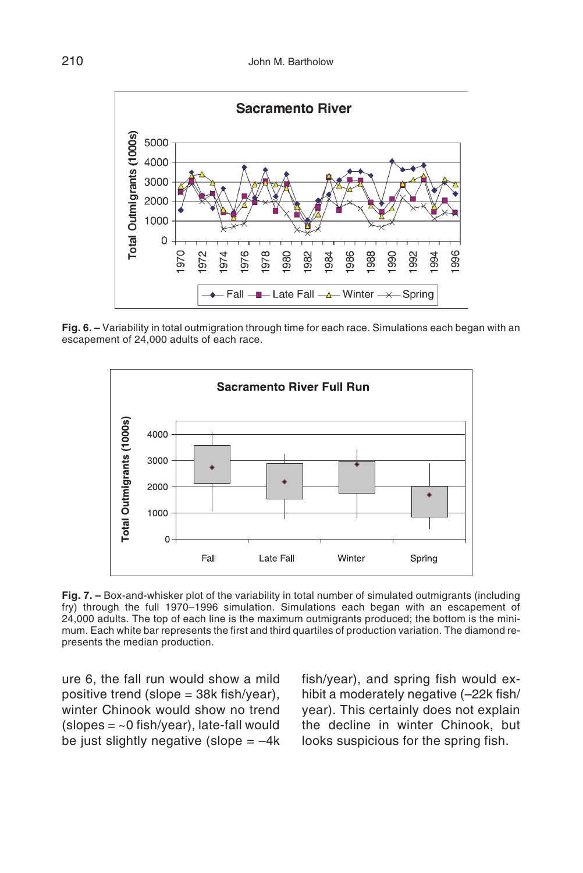

**Fig. 6. –** Variability in total outmigration through time for each race. Simulations each began with an escapement of 24,000 adults of each race.



**Fig. 7. –** Box-and-whisker plot of the variability in total number of simulated outmigrants (including fry) through the full 1970–1996 simulation. Simulations each began with an escapement of 24,000 adults. The top of each line is the maximum outmigrants produced; the bottom is the minimum. Each white bar represents the first and third quartiles of production variation. The diamond represents the median production.

ure 6, the fall run would show a mild positive trend (slope = 38k fish/year), winter Chinook would show no trend  $(slopes = ~0$  fish/year), late-fall would be just slightly negative (slope  $=-4k$ 

fish/year), and spring fish would exhibit a moderately negative (–22k fish/ year). This certainly does not explain the decline in winter Chinook, but looks suspicious for the spring fish.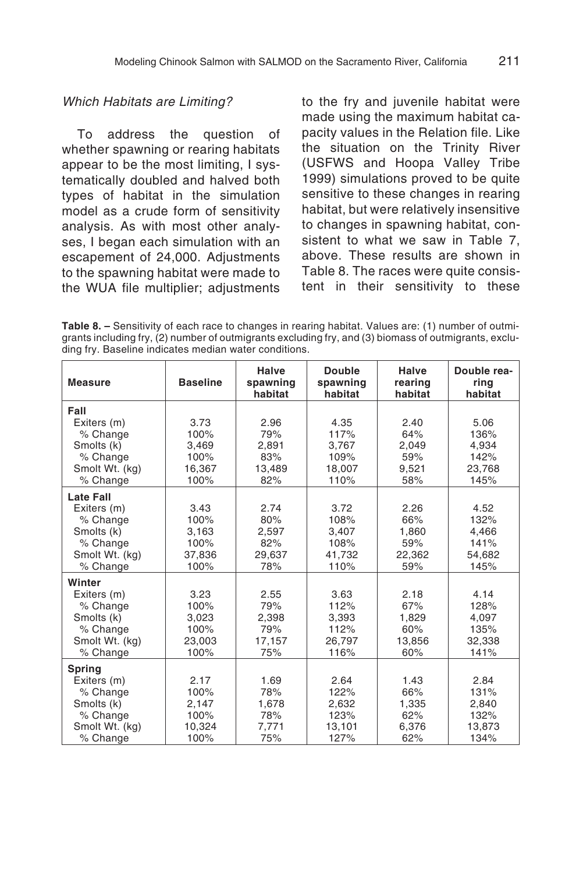#### Which Habitats are Limiting?

To address the question of whether spawning or rearing habitats appear to be the most limiting, I systematically doubled and halved both types of habitat in the simulation model as a crude form of sensitivity analysis. As with most other analyses, I began each simulation with an escapement of 24,000. Adjustments to the spawning habitat were made to the WUA file multiplier; adjustments

to the fry and juvenile habitat were made using the maximum habitat capacity values in the Relation file. Like the situation on the Trinity River (USFWS and Hoopa Valley Tribe 1999) simulations proved to be quite sensitive to these changes in rearing habitat, but were relatively insensitive to changes in spawning habitat, consistent to what we saw in Table 7, above. These results are shown in Table 8. The races were quite consistent in their sensitivity to these

**Table 8. –** Sensitivity of each race to changes in rearing habitat. Values are: (1) number of outmigrants including fry, (2) number of outmigrants excluding fry, and (3) biomass of outmigrants, excluding fry. Baseline indicates median water conditions.

| <b>Measure</b>                                                                                      | <b>Baseline</b>                                 | Halve<br>spawning<br>habitat                 | <b>Double</b><br>spawning<br>habitat            | Halve<br>rearing<br>habitat                  | Double rea-<br>ring<br>habitat                  |
|-----------------------------------------------------------------------------------------------------|-------------------------------------------------|----------------------------------------------|-------------------------------------------------|----------------------------------------------|-------------------------------------------------|
| Fall<br>Exiters (m)                                                                                 | 3.73<br>100%                                    | 2.96<br>79%                                  | 4.35<br>117%                                    | 2.40<br>64%                                  | 5.06<br>136%                                    |
| % Change<br>Smolts (k)<br>% Change                                                                  | 3,469<br>100%                                   | 2,891<br>83%                                 | 3,767<br>109%                                   | 2,049<br>59%                                 | 4,934<br>142%                                   |
| Smolt Wt. (kg)<br>% Change                                                                          | 16,367<br>100%                                  | 13,489<br>82%                                | 18,007<br>110%                                  | 9,521<br>58%                                 | 23,768<br>145%                                  |
| <b>Late Fall</b><br>Exiters (m)<br>% Change<br>Smolts (k)<br>% Change<br>Smolt Wt. (kg)<br>% Change | 3.43<br>100%<br>3,163<br>100%<br>37,836<br>100% | 2.74<br>80%<br>2,597<br>82%<br>29.637<br>78% | 3.72<br>108%<br>3,407<br>108%<br>41,732<br>110% | 2.26<br>66%<br>1,860<br>59%<br>22,362<br>59% | 4.52<br>132%<br>4,466<br>141%<br>54,682<br>145% |
| Winter<br>Exiters (m)<br>% Change<br>Smolts (k)<br>% Change<br>Smolt Wt. (kg)<br>% Change           | 3.23<br>100%<br>3,023<br>100%<br>23.003<br>100% | 2.55<br>79%<br>2,398<br>79%<br>17,157<br>75% | 3.63<br>112%<br>3,393<br>112%<br>26.797<br>116% | 2.18<br>67%<br>1,829<br>60%<br>13,856<br>60% | 4.14<br>128%<br>4,097<br>135%<br>32,338<br>141% |
| <b>Spring</b><br>Exiters (m)<br>% Change<br>Smolts (k)<br>% Change<br>Smolt Wt. (kg)<br>% Change    | 2.17<br>100%<br>2,147<br>100%<br>10,324<br>100% | 1.69<br>78%<br>1,678<br>78%<br>7,771<br>75%  | 2.64<br>122%<br>2,632<br>123%<br>13,101<br>127% | 1.43<br>66%<br>1,335<br>62%<br>6,376<br>62%  | 2.84<br>131%<br>2,840<br>132%<br>13,873<br>134% |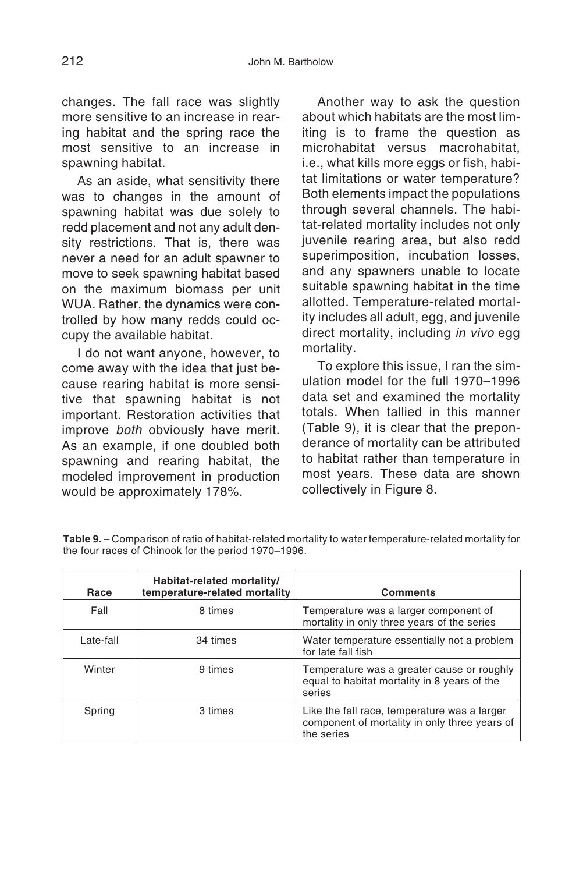changes. The fall race was slightly more sensitive to an increase in rearing habitat and the spring race the most sensitive to an increase in spawning habitat.

As an aside, what sensitivity there was to changes in the amount of spawning habitat was due solely to redd placement and not any adult density restrictions. That is, there was never a need for an adult spawner to move to seek spawning habitat based on the maximum biomass per unit WUA. Rather, the dynamics were controlled by how many redds could occupy the available habitat.

I do not want anyone, however, to come away with the idea that just because rearing habitat is more sensitive that spawning habitat is not important. Restoration activities that improve *both* obviously have merit. As an example, if one doubled both spawning and rearing habitat, the modeled improvement in production would be approximately 178%.

Another way to ask the question about which habitats are the most limiting is to frame the question as microhabitat versus macrohabitat, i.e., what kills more eggs or fish, habitat limitations or water temperature? Both elements impact the populations through several channels. The habitat-related mortality includes not only juvenile rearing area, but also redd superimposition, incubation losses, and any spawners unable to locate suitable spawning habitat in the time allotted. Temperature-related mortality includes all adult, egg, and juvenile direct mortality, including in vivo egg mortality.

To explore this issue, I ran the simulation model for the full 1970–1996 data set and examined the mortality totals. When tallied in this manner (Table 9), it is clear that the preponderance of mortality can be attributed to habitat rather than temperature in most years. These data are shown collectively in Figure 8.

| Race      | Habitat-related mortality/<br>temperature-related mortality | <b>Comments</b>                                                                                             |
|-----------|-------------------------------------------------------------|-------------------------------------------------------------------------------------------------------------|
| Fall      | 8 times                                                     | Temperature was a larger component of<br>mortality in only three years of the series                        |
| Late-fall | 34 times                                                    | Water temperature essentially not a problem<br>for late fall fish                                           |
| Winter    | 9 times                                                     | Temperature was a greater cause or roughly<br>equal to habitat mortality in 8 years of the<br>series        |
| Spring    | 3 times                                                     | Like the fall race, temperature was a larger<br>component of mortality in only three years of<br>the series |

**Table 9. –** Comparison of ratio of habitat-related mortality to water temperature-related mortality for the four races of Chinook for the period 1970–1996.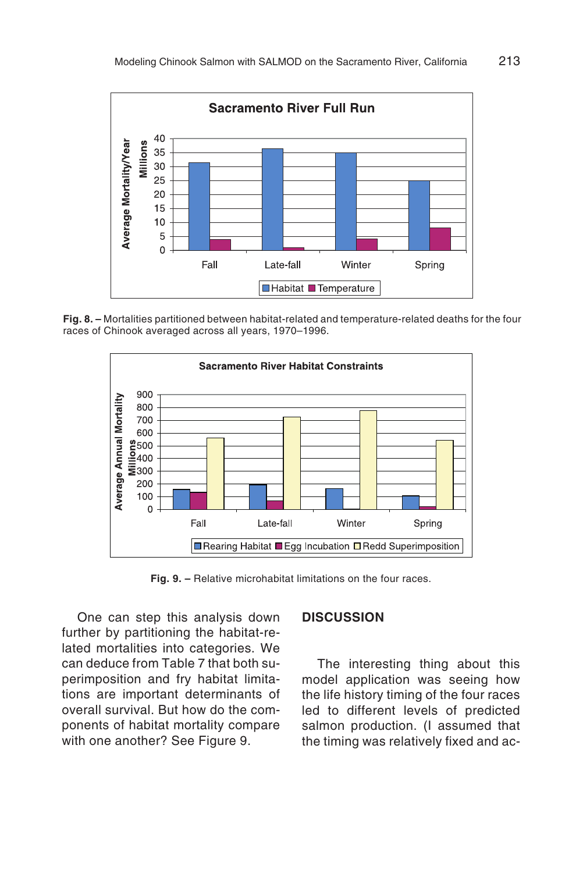

**Fig. 8. –** Mortalities partitioned between habitat-related and temperature-related deaths for the four races of Chinook averaged across all years, 1970–1996.



**Fig. 9. –** Relative microhabitat limitations on the four races.

One can step this analysis down further by partitioning the habitat-related mortalities into categories. We can deduce from Table 7 that both superimposition and fry habitat limitations are important determinants of overall survival. But how do the components of habitat mortality compare with one another? See Figure 9.

#### **DISCUSSION**

The interesting thing about this model application was seeing how the life history timing of the four races led to different levels of predicted salmon production. (I assumed that the timing was relatively fixed and ac-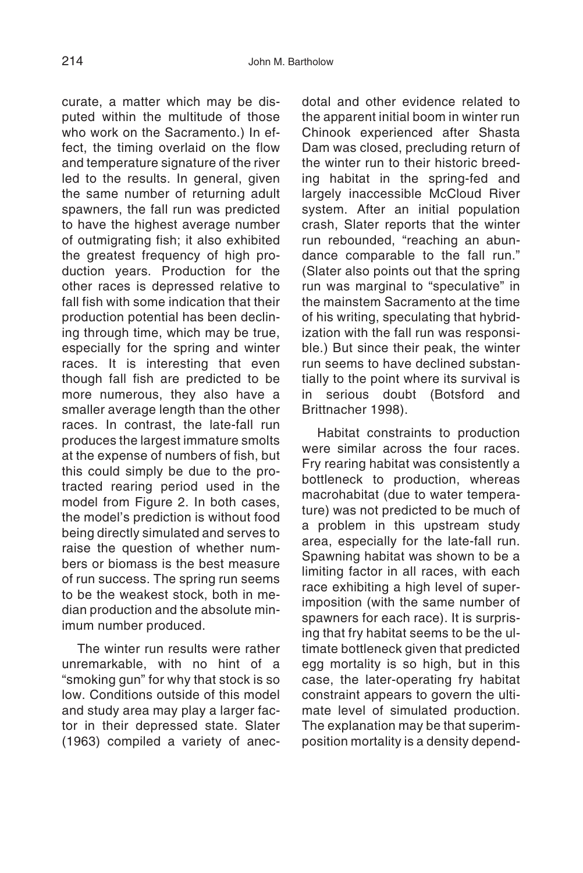curate, a matter which may be disputed within the multitude of those who work on the Sacramento.) In effect, the timing overlaid on the flow and temperature signature of the river led to the results. In general, given the same number of returning adult spawners, the fall run was predicted to have the highest average number of outmigrating fish; it also exhibited the greatest frequency of high production years. Production for the other races is depressed relative to fall fish with some indication that their production potential has been declining through time, which may be true, especially for the spring and winter races. It is interesting that even though fall fish are predicted to be more numerous, they also have a smaller average length than the other races. In contrast, the late-fall run produces the largest immature smolts at the expense of numbers of fish, but this could simply be due to the protracted rearing period used in the model from Figure 2. In both cases. the model's prediction is without food being directly simulated and serves to raise the question of whether numbers or biomass is the best measure of run success. The spring run seems to be the weakest stock, both in median production and the absolute minimum number produced.

The winter run results were rather unremarkable, with no hint of a "smoking gun" for why that stock is so low. Conditions outside of this model and study area may play a larger factor in their depressed state. Slater (1963) compiled a variety of anec-

dotal and other evidence related to the apparent initial boom in winter run Chinook experienced after Shasta Dam was closed, precluding return of the winter run to their historic breeding habitat in the spring-fed and largely inaccessible McCloud River system. After an initial population crash, Slater reports that the winter run rebounded, "reaching an abundance comparable to the fall run." (Slater also points out that the spring run was marginal to "speculative" in the mainstem Sacramento at the time of his writing, speculating that hybridization with the fall run was responsible.) But since their peak, the winter run seems to have declined substantially to the point where its survival is<br>in serious doubt (Botsford and doubt (Botsford and Brittnacher 1998).

Habitat constraints to production were similar across the four races. Fry rearing habitat was consistently a bottleneck to production, whereas macrohabitat (due to water temperature) was not predicted to be much of a problem in this upstream study area, especially for the late-fall run. Spawning habitat was shown to be a limiting factor in all races, with each race exhibiting a high level of superimposition (with the same number of spawners for each race). It is surprising that fry habitat seems to be the ultimate bottleneck given that predicted egg mortality is so high, but in this case, the later-operating fry habitat constraint appears to govern the ultimate level of simulated production. The explanation may be that superimposition mortality is a density depend-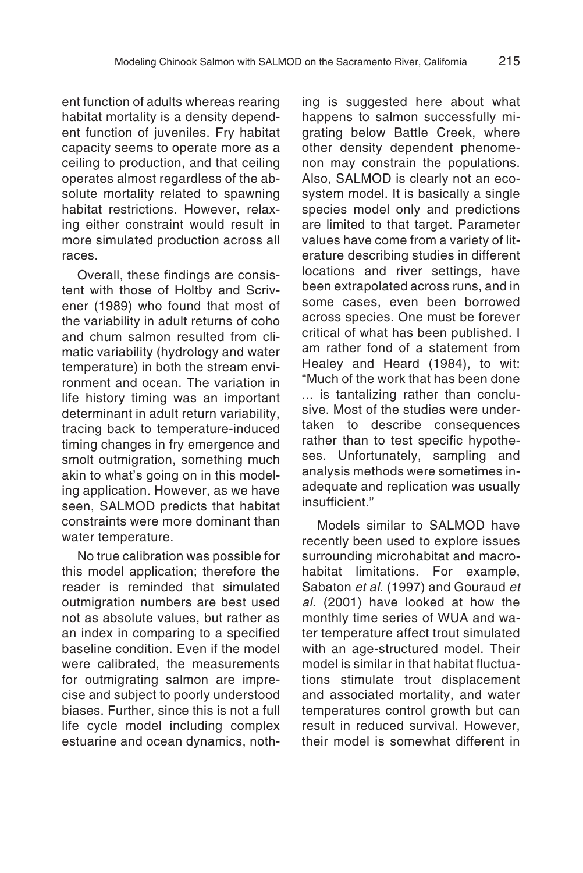ent function of adults whereas rearing habitat mortality is a density dependent function of juveniles. Fry habitat capacity seems to operate more as a ceiling to production, and that ceiling operates almost regardless of the absolute mortality related to spawning habitat restrictions. However, relaxing either constraint would result in more simulated production across all races.

Overall, these findings are consistent with those of Holtby and Scrivener (1989) who found that most of the variability in adult returns of coho and chum salmon resulted from climatic variability (hydrology and water temperature) in both the stream environment and ocean. The variation in life history timing was an important determinant in adult return variability, tracing back to temperature-induced timing changes in fry emergence and smolt outmigration, something much akin to what's going on in this modeling application. However, as we have seen, SALMOD predicts that habitat constraints were more dominant than water temperature.

No true calibration was possible for this model application; therefore the reader is reminded that simulated outmigration numbers are best used not as absolute values, but rather as an index in comparing to a specified baseline condition. Even if the model were calibrated, the measurements for outmigrating salmon are imprecise and subject to poorly understood biases. Further, since this is not a full life cycle model including complex estuarine and ocean dynamics, nothing is suggested here about what happens to salmon successfully migrating below Battle Creek, where other density dependent phenomenon may constrain the populations. Also, SALMOD is clearly not an ecosystem model. It is basically a single species model only and predictions are limited to that target. Parameter values have come from a variety of literature describing studies in different locations and river settings, have been extrapolated across runs, and in some cases, even been borrowed across species. One must be forever critical of what has been published. I am rather fond of a statement from Healey and Heard (1984), to wit: "Much of the work that has been done ... is tantalizing rather than conclusive. Most of the studies were undertaken to describe consequences rather than to test specific hypotheses. Unfortunately, sampling and analysis methods were sometimes inadequate and replication was usually insufficient."

Models similar to SALMOD have recently been used to explore issues surrounding microhabitat and macrohabitat limitations. For example, Sabaton et al. (1997) and Gouraud et al. (2001) have looked at how the monthly time series of WUA and water temperature affect trout simulated with an age-structured model. Their model is similar in that habitat fluctuations stimulate trout displacement and associated mortality, and water temperatures control growth but can result in reduced survival. However, their model is somewhat different in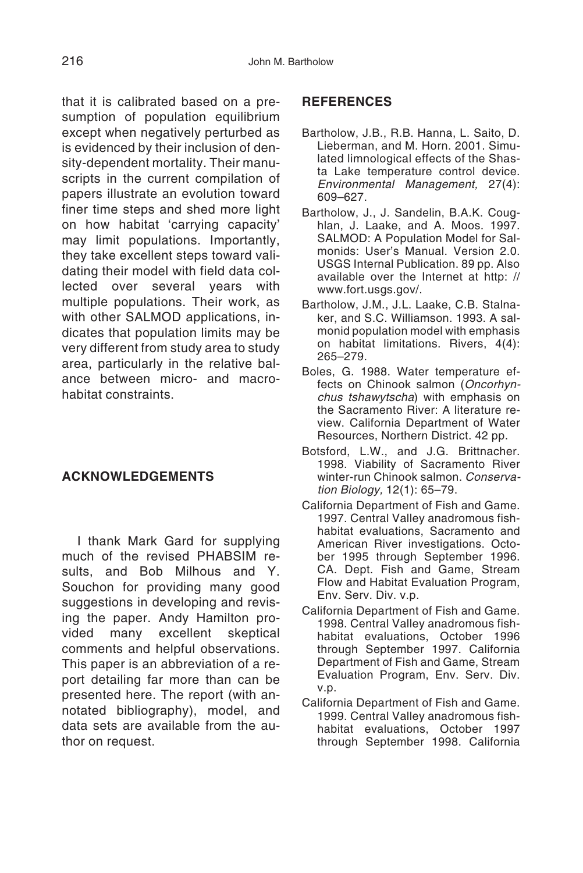that it is calibrated based on a presumption of population equilibrium except when negatively perturbed as is evidenced by their inclusion of density-dependent mortality. Their manuscripts in the current compilation of papers illustrate an evolution toward finer time steps and shed more light on how habitat 'carrying capacity' may limit populations. Importantly, they take excellent steps toward validating their model with field data collected over several years with multiple populations. Their work, as with other SALMOD applications, indicates that population limits may be very different from study area to study area, particularly in the relative balance between micro- and macrohabitat constraints.

#### **ACKNOWLEDGEMENTS**

I thank Mark Gard for supplying much of the revised PHABSIM results, and Bob Milhous and Y. Souchon for providing many good suggestions in developing and revising the paper. Andy Hamilton provided many excellent skeptical comments and helpful observations. This paper is an abbreviation of a report detailing far more than can be presented here. The report (with annotated bibliography), model, and data sets are available from the author on request.

#### **REFERENCES**

- Bartholow, J.B., R.B. Hanna, L. Saito, D. Lieberman, and M. Horn. 2001. Simulated limnological effects of the Shasta Lake temperature control device. Environmental Management, 27(4): 609–627.
- Bartholow, J., J. Sandelin, B.A.K. Coughlan, J. Laake, and A. Moos. 1997. SALMOD: A Population Model for Salmonids: User's Manual. Version 2.0. USGS Internal Publication. 89 pp. Also available over the Internet at http: // www.fort.usgs.gov/.
- Bartholow, J.M., J.L. Laake, C.B. Stalnaker, and S.C. Williamson. 1993. A salmonid population model with emphasis on habitat limitations. Rivers, 4(4): 265–279.
- Boles, G. 1988. Water temperature effects on Chinook salmon (Oncorhynchus tshawytscha) with emphasis on the Sacramento River: A literature review. California Department of Water Resources, Northern District. 42 pp.
- Botsford, L.W., and J.G. Brittnacher. 1998. Viability of Sacramento River winter-run Chinook salmon. Conservation Biology, 12(1): 65–79.
- California Department of Fish and Game. 1997. Central Valley anadromous fishhabitat evaluations, Sacramento and American River investigations. October 1995 through September 1996. CA. Dept. Fish and Game, Stream Flow and Habitat Evaluation Program, Env. Serv. Div. v.p.
- California Department of Fish and Game. 1998. Central Valley anadromous fishhabitat evaluations, October 1996 through September 1997. California Department of Fish and Game, Stream Evaluation Program, Env. Serv. Div. v.p.
- California Department of Fish and Game. 1999. Central Valley anadromous fishhabitat evaluations, October 1997 through September 1998. California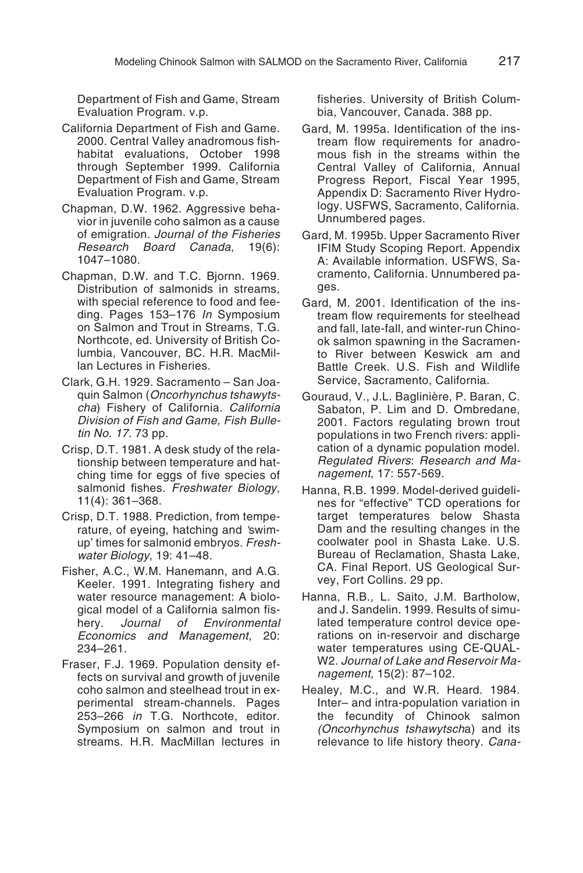Department of Fish and Game, Stream Evaluation Program. v.p.

- California Department of Fish and Game. 2000. Central Valley anadromous fishhabitat evaluations, October 1998 through September 1999. California Department of Fish and Game, Stream Evaluation Program. v.p.
- Chapman, D.W. 1962. Aggressive behavior in juvenile coho salmon as a cause of emigration. Journal of the Fisheries Research Board Canada, 19(6): 1047–1080.
- Chapman, D.W. and T.C. Bjornn. 1969. Distribution of salmonids in streams, with special reference to food and feeding. Pages 153-176 In Symposium on Salmon and Trout in Streams, T.G. Northcote, ed. University of British Columbia, Vancouver, BC. H.R. MacMillan Lectures in Fisheries.
- Clark, G.H. 1929. Sacramento San Joaquin Salmon (Oncorhynchus tshawytscha) Fishery of California. California Division of Fish and Game, Fish Bulletin No. 17. 73 pp.
- Crisp, D.T. 1981. A desk study of the relationship between temperature and hatching time for eggs of five species of salmonid fishes. Freshwater Biology, 11(4): 361–368.
- Crisp, D.T. 1988. Prediction, from temperature, of eyeing, hatching and 'swimup' times for salmonid embryos. Freshwater Biology, 19: 41–48.
- Fisher, A.C., W.M. Hanemann, and A.G. Keeler. 1991. Integrating fishery and water resource management: A biological model of a California salmon fishery. Journal of Environmental Economics and Management, 20: 234–261.
- Fraser, F.J. 1969. Population density effects on survival and growth of juvenile coho salmon and steelhead trout in experimental stream-channels. Pages 253–266 in T.G. Northcote, editor. Symposium on salmon and trout in streams. H.R. MacMillan lectures in

fisheries. University of British Columbia, Vancouver, Canada. 388 pp.

- Gard, M. 1995a. Identification of the instream flow requirements for anadromous fish in the streams within the Central Valley of California, Annual Progress Report, Fiscal Year 1995, Appendix D: Sacramento River Hydrology. USFWS, Sacramento, California. Unnumbered pages.
- Gard, M. 1995b. Upper Sacramento River IFIM Study Scoping Report. Appendix A: Available information. USFWS, Sacramento, California. Unnumbered pages.
- Gard, M. 2001. Identification of the instream flow requirements for steelhead and fall, late-fall, and winter-run Chinook salmon spawning in the Sacramento River between Keswick am and Battle Creek. U.S. Fish and Wildlife Service, Sacramento, California.
- Gouraud, V., J.L. Baglinière, P. Baran, C. Sabaton, P. Lim and D. Ombredane, 2001. Factors regulating brown trout populations in two French rivers: application of a dynamic population model. Regulated Rivers: Research and Management, 17: 557-569.
- Hanna, R.B. 1999. Model-derived guidelines for "effective" TCD operations for target temperatures below Shasta Dam and the resulting changes in the coolwater pool in Shasta Lake. U.S. Bureau of Reclamation, Shasta Lake, CA. Final Report. US Geological Survey, Fort Collins. 29 pp.
- Hanna, R.B., L. Saito, J.M. Bartholow, and J. Sandelin. 1999. Results of simulated temperature control device operations on in-reservoir and discharge water temperatures using CE-QUAL-W2. Journal of Lake and Reservoir Management, 15(2): 87–102.
- Healey, M.C., and W.R. Heard. 1984. Inter– and intra-population variation in the fecundity of Chinook salmon (Oncorhynchus tshawytscha) and its relevance to life history theory. Cana-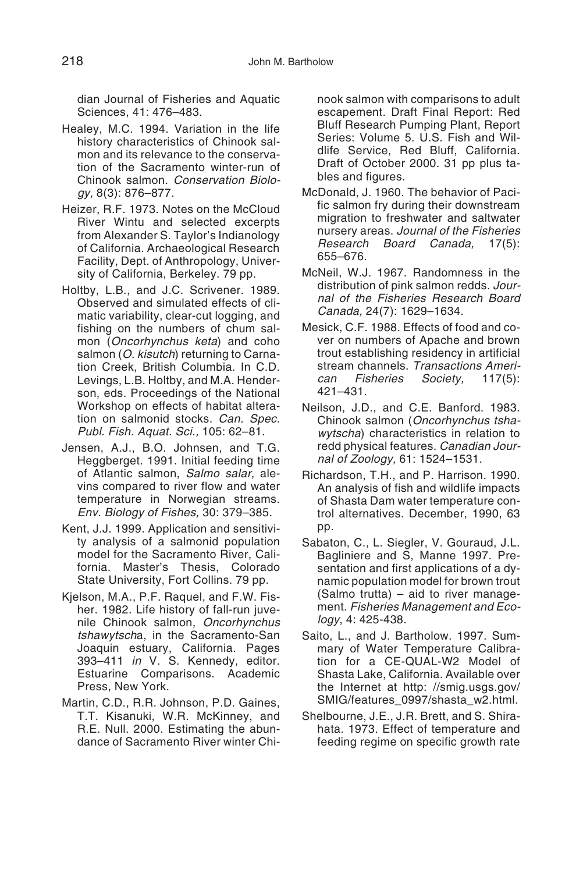dian Journal of Fisheries and Aquatic Sciences, 41: 476–483.

- Healey, M.C. 1994. Variation in the life history characteristics of Chinook salmon and its relevance to the conservation of the Sacramento winter-run of Chinook salmon. Conservation Biology, 8(3): 876–877.
- Heizer, R.F. 1973. Notes on the McCloud River Wintu and selected excerpts from Alexander S. Taylor's Indianology of California. Archaeological Research Facility, Dept. of Anthropology, University of California, Berkeley. 79 pp.
- Holtby, L.B., and J.C. Scrivener. 1989. Observed and simulated effects of climatic variability, clear-cut logging, and fishing on the numbers of chum salmon (Oncorhynchus keta) and coho salmon (O. kisutch) returning to Carnation Creek, British Columbia. In C.D. Levings, L.B. Holtby, and M.A. Henderson, eds. Proceedings of the National Workshop on effects of habitat alteration on salmonid stocks. Can. Spec. Publ. Fish. Aquat. Sci., 105: 62–81.
- Jensen, A.J., B.O. Johnsen, and T.G. Heggberget. 1991. Initial feeding time of Atlantic salmon, Salmo salar, alevins compared to river flow and water temperature in Norwegian streams. Env. Biology of Fishes, 30: 379–385.
- Kent, J.J. 1999. Application and sensitivity analysis of a salmonid population model for the Sacramento River, California. Master's Thesis, Colorado State University, Fort Collins. 79 pp.
- Kjelson, M.A., P.F. Raquel, and F.W. Fisher. 1982. Life history of fall-run juvenile Chinook salmon, Oncorhynchus tshawytscha, in the Sacramento-San Joaquin estuary, California. Pages 393–411 in V. S. Kennedy, editor. Estuarine Comparisons. Academic Press, New York.
- Martin, C.D., R.R. Johnson, P.D. Gaines, T.T. Kisanuki, W.R. McKinney, and R.E. Null. 2000. Estimating the abundance of Sacramento River winter Chi-

nook salmon with comparisons to adult escapement. Draft Final Report: Red Bluff Research Pumping Plant, Report Series: Volume 5. U.S. Fish and Wildlife Service, Red Bluff, California. Draft of October 2000. 31 pp plus tables and figures.

- McDonald, J. 1960. The behavior of Pacific salmon fry during their downstream migration to freshwater and saltwater nursery areas. Journal of the Fisheries Research Board Canada, 17(5): 655–676.
- McNeil, W.J. 1967. Randomness in the distribution of pink salmon redds. Journal of the Fisheries Research Board Canada, 24(7): 1629–1634.
- Mesick, C.F. 1988. Effects of food and cover on numbers of Apache and brown trout establishing residency in artificial stream channels. Transactions American Fisheries Society, 117(5): 421–431.
- Neilson, J.D., and C.E. Banford. 1983. Chinook salmon (Oncorhynchus tshawytscha) characteristics in relation to redd physical features. Canadian Journal of Zoology, 61: 1524–1531.
- Richardson, T.H., and P. Harrison. 1990. An analysis of fish and wildlife impacts of Shasta Dam water temperature control alternatives. December, 1990, 63 pp.
- Sabaton, C., L. Siegler, V. Gouraud, J.L. Bagliniere and S, Manne 1997. Presentation and first applications of a dynamic population model for brown trout (Salmo trutta) – aid to river management. Fisheries Management and Ecology, 4: 425-438.
- Saito, L., and J. Bartholow. 1997. Summary of Water Temperature Calibration for a CE-QUAL-W2 Model of Shasta Lake, California. Available over the Internet at http: //smig.usgs.gov/ SMIG/features\_0997/shasta\_w2.html.
- Shelbourne, J.E., J.R. Brett, and S. Shirahata. 1973. Effect of temperature and feeding regime on specific growth rate